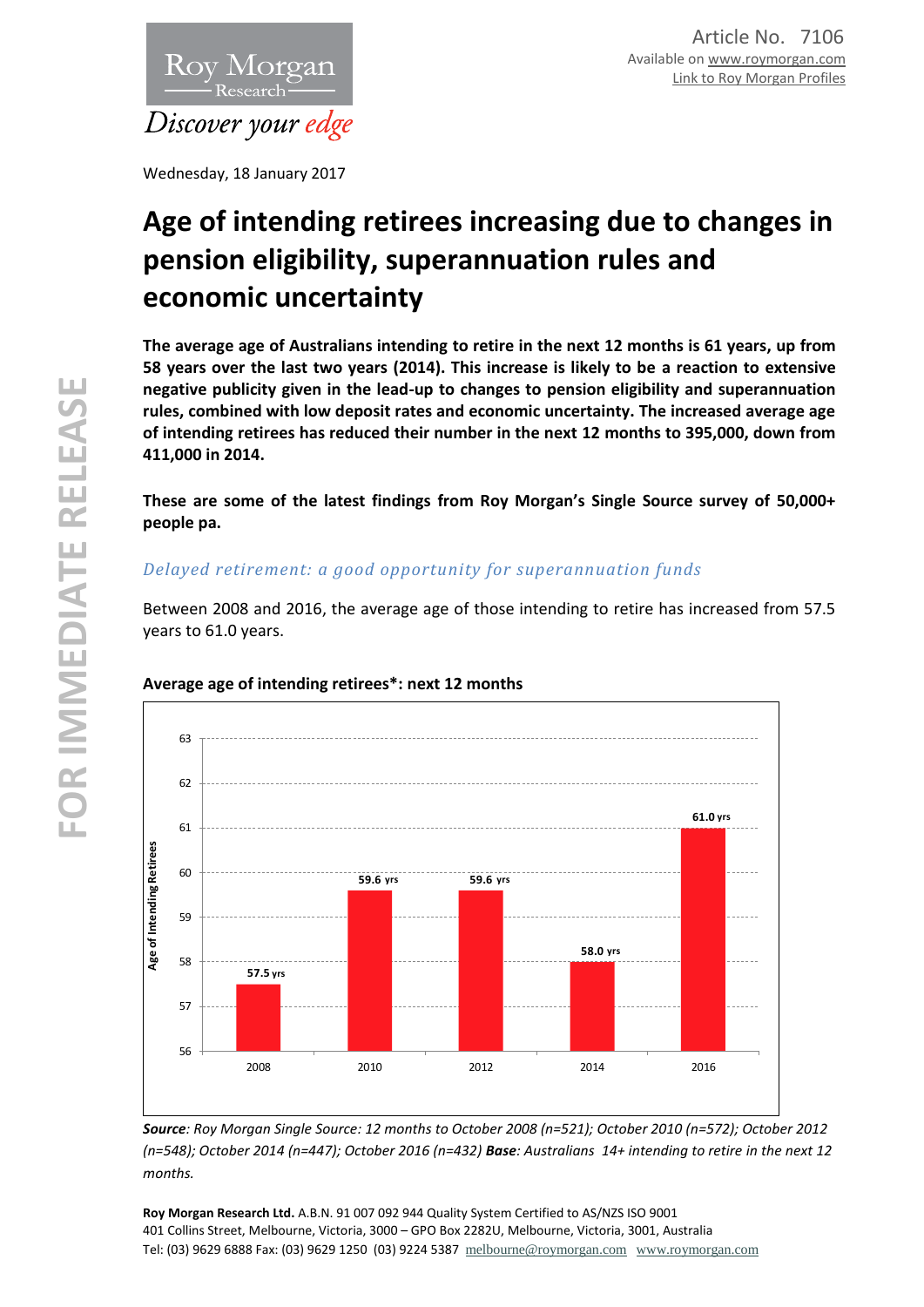

Wednesday, 18 January 2017

# **Age of intending retirees increasing due to changes in pension eligibility, superannuation rules and economic uncertainty**

**The average age of Australians intending to retire in the next 12 months is 61 years, up from 58 years over the last two years (2014). This increase is likely to be a reaction to extensive negative publicity given in the lead-up to changes to pension eligibility and superannuation rules, combined with low deposit rates and economic uncertainty. The increased average age of intending retirees has reduced their number in the next 12 months to 395,000, down from 411,000 in 2014.**

**These are some of the latest findings from Roy Morgan's Single Source survey of 50,000+ people pa.**

# *Delayed retirement: a good opportunity for superannuation funds*

Between 2008 and 2016, the average age of those intending to retire has increased from 57.5 years to 61.0 years.



## **Average age of intending retirees\*: next 12 months**

*Source: Roy Morgan Single Source: 12 months to October 2008 (n=521); October 2010 (n=572); October 2012 (n=548); October 2014 (n=447); October 2016 (n=432) Base: Australians 14+ intending to retire in the next 12 months.*

**Roy Morgan Research Ltd.** A.B.N. 91 007 092 944 Quality System Certified to AS/NZS ISO 9001 401 Collins Street, Melbourne, Victoria, 3000 – GPO Box 2282U, Melbourne, Victoria, 3001, Australia Tel: (03) 9629 6888 Fax: (03) 9629 1250 (03) 9224 5387 [melbourne@roymorgan.com](mailto:melbourne@roymorgan.com) [www.roymorgan.com](http://www.roymorgan.com/)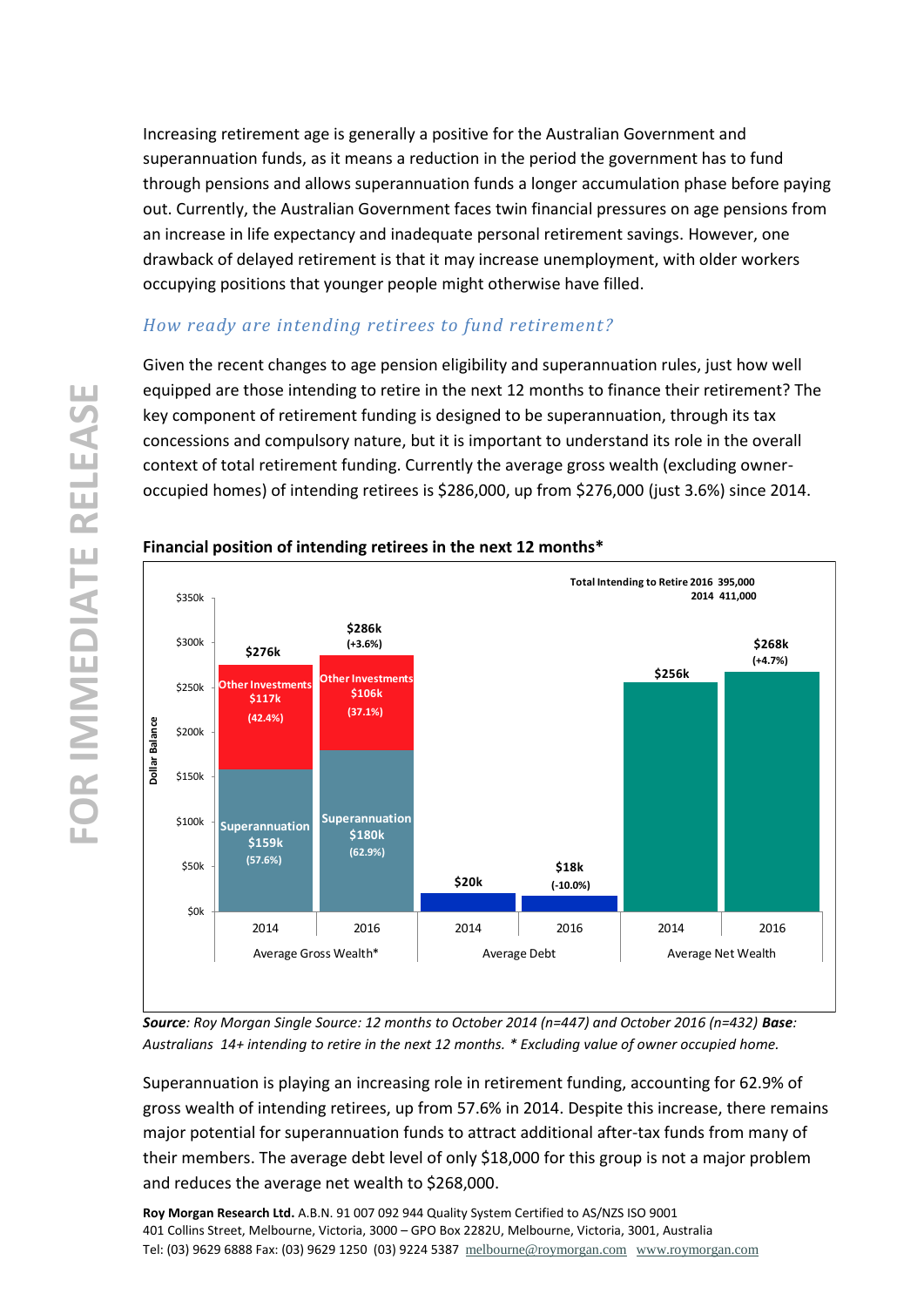Increasing retirement age is generally a positive for the Australian Government and superannuation funds, as it means a reduction in the period the government has to fund through pensions and allows superannuation funds a longer accumulation phase before paying out. Currently, the Australian Government faces twin financial pressures on age pensions from an increase in life expectancy and inadequate personal retirement savings. However, one drawback of delayed retirement is that it may increase unemployment, with older workers occupying positions that younger people might otherwise have filled.

## *How ready are intending retirees to fund retirement?*

Given the recent changes to age pension eligibility and superannuation rules, just how well equipped are those intending to retire in the next 12 months to finance their retirement? The key component of retirement funding is designed to be superannuation, through its tax concessions and compulsory nature, but it is important to understand its role in the overall context of total retirement funding. Currently the average gross wealth (excluding owneroccupied homes) of intending retirees is \$286,000, up from \$276,000 (just 3.6%) since 2014.



## **Financial position of intending retirees in the next 12 months\***

*Source: Roy Morgan Single Source: 12 months to October 2014 (n=447) and October 2016 (n=432) Base: Australians 14+ intending to retire in the next 12 months. \* Excluding value of owner occupied home.*

Superannuation is playing an increasing role in retirement funding, accounting for 62.9% of gross wealth of intending retirees, up from 57.6% in 2014. Despite this increase, there remains major potential for superannuation funds to attract additional after-tax funds from many of their members. The average debt level of only \$18,000 for this group is not a major problem and reduces the average net wealth to \$268,000.

**Roy Morgan Research Ltd.** A.B.N. 91 007 092 944 Quality System Certified to AS/NZS ISO 9001 401 Collins Street, Melbourne, Victoria, 3000 – GPO Box 2282U, Melbourne, Victoria, 3001, Australia Tel: (03) 9629 6888 Fax: (03) 9629 1250 (03) 9224 5387 [melbourne@roymorgan.com](mailto:melbourne@roymorgan.com) [www.roymorgan.com](http://www.roymorgan.com/)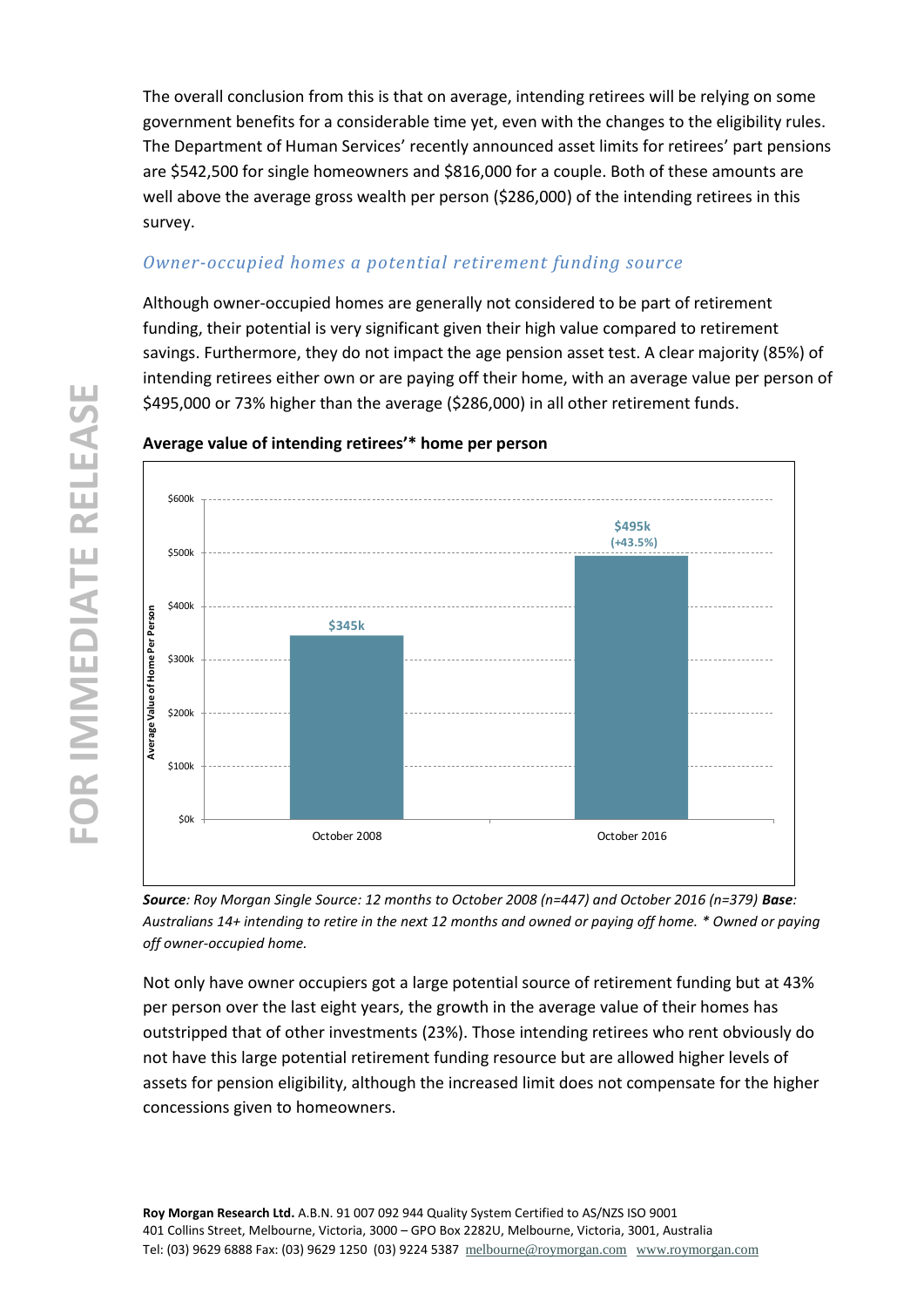The overall conclusion from this is that on average, intending retirees will be relying on some government benefits for a considerable time yet, even with the changes to the eligibility rules. The Department of Human Services' recently announced asset limits for retirees' part pensions are \$542,500 for single homeowners and \$816,000 for a couple. Both of these amounts are well above the average gross wealth per person (\$286,000) of the intending retirees in this survey.

# *Owner-occupied homes a potential retirement funding source*

Although owner-occupied homes are generally not considered to be part of retirement funding, their potential is very significant given their high value compared to retirement savings. Furthermore, they do not impact the age pension asset test. A clear majority (85%) of intending retirees either own or are paying off their home, with an average value per person of \$495,000 or 73% higher than the average (\$286,000) in all other retirement funds.



## **Average value of intending retirees'\* home per person**

*Source: Roy Morgan Single Source: 12 months to October 2008 (n=447) and October 2016 (n=379) Base: Australians 14+ intending to retire in the next 12 months and owned or paying off home. \* Owned or paying off owner-occupied home.*

Not only have owner occupiers got a large potential source of retirement funding but at 43% per person over the last eight years, the growth in the average value of their homes has outstripped that of other investments (23%). Those intending retirees who rent obviously do not have this large potential retirement funding resource but are allowed higher levels of assets for pension eligibility, although the increased limit does not compensate for the higher concessions given to homeowners.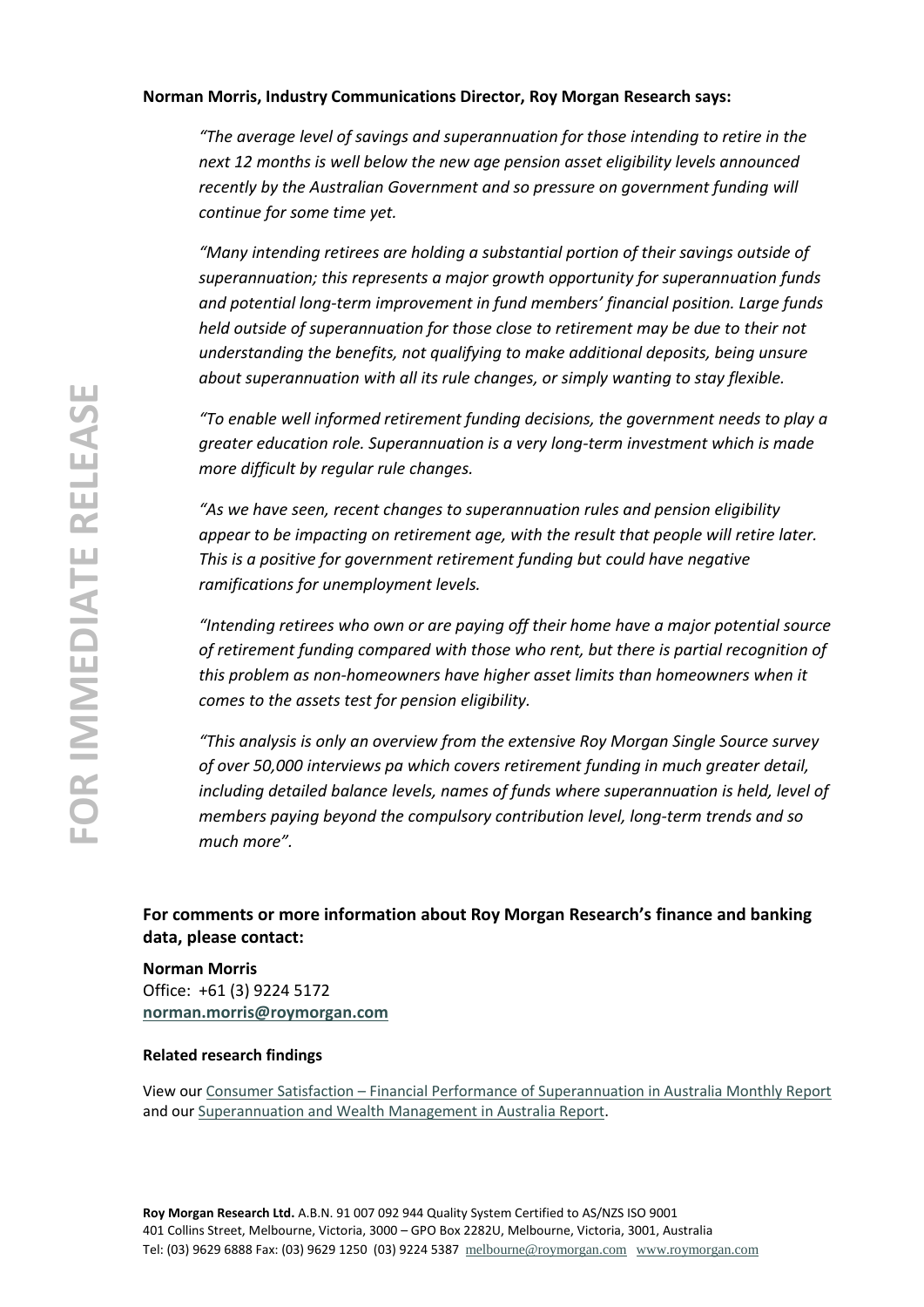### **Norman Morris, Industry Communications Director, Roy Morgan Research says:**

*"The average level of savings and superannuation for those intending to retire in the next 12 months is well below the new age pension asset eligibility levels announced recently by the Australian Government and so pressure on government funding will continue for some time yet.*

*"Many intending retirees are holding a substantial portion of their savings outside of superannuation; this represents a major growth opportunity for superannuation funds and potential long-term improvement in fund members' financial position. Large funds held outside of superannuation for those close to retirement may be due to their not understanding the benefits, not qualifying to make additional deposits, being unsure about superannuation with all its rule changes, or simply wanting to stay flexible.* 

*"To enable well informed retirement funding decisions, the government needs to play a greater education role. Superannuation is a very long-term investment which is made more difficult by regular rule changes.*

*"As we have seen, recent changes to superannuation rules and pension eligibility appear to be impacting on retirement age, with the result that people will retire later. This is a positive for government retirement funding but could have negative ramifications for unemployment levels.*

*"Intending retirees who own or are paying off their home have a major potential source of retirement funding compared with those who rent, but there is partial recognition of this problem as non-homeowners have higher asset limits than homeowners when it comes to the assets test for pension eligibility.*

*"This analysis is only an overview from the extensive Roy Morgan Single Source survey of over 50,000 interviews pa which covers retirement funding in much greater detail, including detailed balance levels, names of funds where superannuation is held, level of members paying beyond the compulsory contribution level, long-term trends and so much more".* 

**For comments or more information about Roy Morgan Research's finance and banking data, please contact:**

**Norman Morris** Office: +61 (3) 9224 5172 **[norman.morris@roymorgan.com](mailto:norman.morris@roymorgan.com)**

#### **Related research findings**

View our Consumer Satisfaction – [Financial Performance of Superannuation in Australia Monthly Report](http://www.roymorganonlinestore.com/Browse/Australia/Superannuation/Superannuation-Satisfaction-Reports/Customer-Satisfaction-Superannuation.aspx) and ou[r Superannuation and Wealth Management in Australia Report.](http://www.roymorganonlinestore.com/Browse/Australia/Banking-and-Finance/Superannuation/Superannuation-and-Wealth-Management-Report/Superannuation-and-Wealth-Management-in-Austra.aspx)

**Roy Morgan Research Ltd.** A.B.N. 91 007 092 944 Quality System Certified to AS/NZS ISO 9001 401 Collins Street, Melbourne, Victoria, 3000 – GPO Box 2282U, Melbourne, Victoria, 3001, Australia Tel: (03) 9629 6888 Fax: (03) 9629 1250 (03) 9224 5387 [melbourne@roymorgan.com](mailto:melbourne@roymorgan.com) [www.roymorgan.com](http://www.roymorgan.com/)